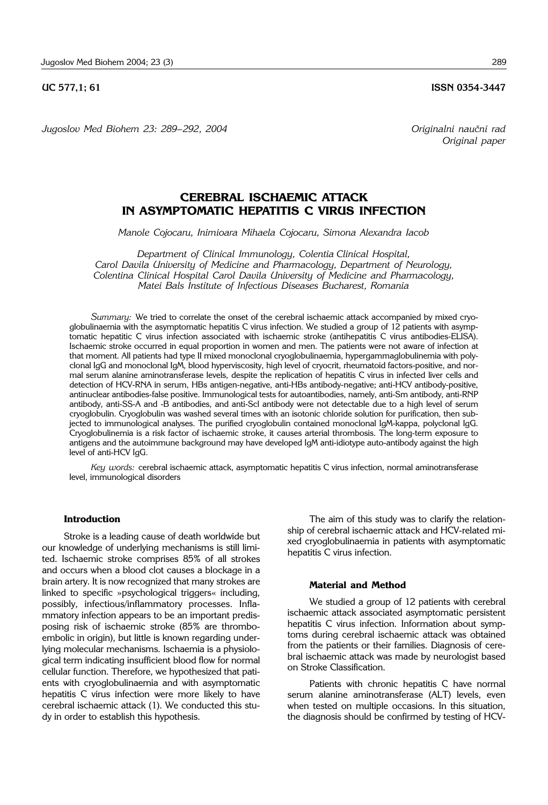*Jugoslov Med Biohem 23: 289– 292, 2004 Originalni nau~ni rad*

*Original paper*

# **CEREBRAL ISCHAEMIC ATTACK IN ASYMPTOMATIC HEPATITIS C VIRUS INFECTION**

*Manole Cojocaru, Inimioara Mihaela Cojocaru, Simona Alexandra Iacob*

*Department of Clinical Immunology, Colentia Clinical Hospital, Carol Davila University of Medicine and Pharmacology, Department of Neurology, Colentina Clinical Hospital Carol Davila University of Medicine and Pharmacology, Matei Bals Institute of Infectious Diseases Bucharest, Romania*

*Summary:* We tried to correlate the onset of the cerebral ischaemic attack accompanied by mixed cryoglobulinaemia with the asymptomatic hepatitis C virus infection. We studied a group of 12 patients with asymptomatic hepatitic C virus infection associated with ischaemic stroke (antihepatitis C virus antibodies-ELISA). Ischaemic stroke occurred in equal proportion in women and men. The patients were not aware of infection at that moment. All patients had type II mixed monoclonal cryoglobulinaemia, hypergammaglobulinemia with polyclonal IgG and monoclonal IgM, blood hyperviscosity, high level of cryocrit, rheumatoid factors-positive, and normal serum alanine aminotransferase levels, despite the replication of hepatitis C virus in infected liver cells and detection of HCV-RNA in serum, HBs antigen-negative, anti-HBs antibody-negative; anti-HCV antibody-positive, antinuclear antibodies-false positive. Immunological tests for autoantibodies, namely, anti-Sm antibody, anti-RNP antibody, anti-SS-A and -B antibodies, and anti-Scl antibody were not detectable due to a high level of serum cryoglobulin. Cryoglobulin was washed several times with an isotonic chloride solution for purification, then subjected to immunological analyses. The purified cryoglobulin contained monoclonal IgM-kappa, polyclonal IgG. Cryoglobulinemia is a risk factor of ischaemic stroke, it causes arterial thrombosis. The long-term exposure to antigens and the autoimmune background may have developed IgM anti-idiotype auto-antibody against the high level of anti-HCV IgG.

*Key words:* cerebral ischaemic attack, asymptomatic hepatitis C virus infection, normal aminotransferase level, immunological disorders

## **Introduction**

Stroke is a leading cause of death worldwide but our knowledge of underlying mechanisms is still limited. Ischaemic stroke comprises 85% of all strokes and occurs when a blood clot causes a blockage in a brain artery. It is now recognized that many strokes are linked to specific »psychological triggers« including, possibly, infectious/inflammatory processes. Inflammatory infection appears to be an important predisposing risk of ischaemic stroke (85% are thromboembolic in origin), but little is known regarding underlying molecular mechanisms. Ischaemia is a physiological term indicating insufficient blood flow for normal cellular function. Therefore, we hypothesized that patients with cryoglobulinaemia and with asymptomatic hepatitis C virus infection were more likely to have cerebral ischaemic attack (1). We conducted this study in order to establish this hypothesis.

The aim of this study was to clarify the relationship of cerebral ischaemic attack and HCV-related mixed cryoglobulinaemia in patients with asymptomatic hepatitis C virus infection.

#### **Material and Method**

We studied a group of 12 patients with cerebral ischaemic attack associated asymptomatic persistent hepatitis C virus infection. Information about symptoms during cerebral ischaemic attack was obtained from the patients or their families. Diagnosis of cerebral ischaemic attack was made by neurologist based on Stroke Classification.

Patients with chronic hepatitis C have normal serum alanine aminotransferase (ALT) levels, even when tested on multiple occasions. In this situation, the diagnosis should be confirmed by testing of HCV-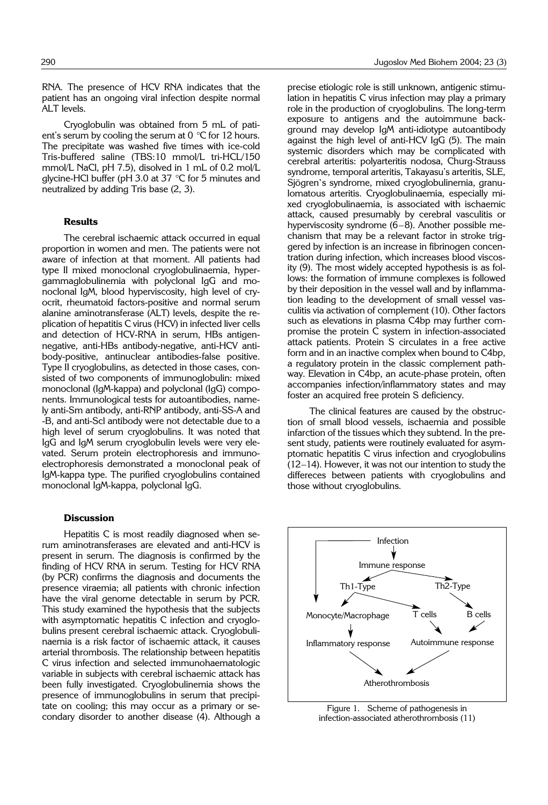RNA. The presence of HCV RNA indicates that the patient has an ongoing viral infection despite normal ALT levels.

Cryoglobulin was obtained from 5 mL of patient's serum by cooling the serum at  $0^{\circ}$ C for 12 hours. The precipitate was washed five times with ice-cold Tris-buffered saline (TBS:10 mmol/L tri-HCL/150 mmol/L NaCl, pH 7.5), disolved in 1 mL of 0.2 mol/L glycine-HCl buffer (pH 3.0 at 37 °C for 5 minutes and neutralized by adding Tris base (2, 3).

#### **Results**

The cerebral ischaemic attack occurred in equal proportion in women and men. The patients were not aware of infection at that moment. All patients had type II mixed monoclonal cryoglobulinaemia, hypergammaglobulinemia with polyclonal IgG and monoclonal IgM, blood hyperviscosity, high level of cryocrit, rheumatoid factors-positive and normal serum alanine aminotransferase (ALT) levels, despite the replication of hepatitis C virus (HCV) in infected liver cells and detection of HCV-RNA in serum, HBs antigennegative, anti-HBs antibody-negative, anti-HCV antibody-positive, antinuclear antibodies-false positive. Type II cryoglobulins, as detected in those cases, consisted of two components of immunoglobulin: mixed monoclonal (IgM-kappa) and polyclonal (IgG) components. Immunological tests for autoantibodies, namely anti-Sm antibody, anti-RNP antibody, anti-SS-A and -B, and anti-Scl antibody were not detectable due to a high level of serum cryoglobulins. It was noted that IgG and IgM serum cryoglobulin levels were very elevated. Serum protein electrophoresis and immunoelectrophoresis demonstrated a monoclonal peak of IgM-kappa type. The purified cryoglobulins contained monoclonal IgM-kappa, polyclonal IgG.

### **Discussion**

Hepatitis C is most readily diagnosed when serum aminotransferases are elevated and anti-HCV is present in serum. The diagnosis is confirmed by the finding of HCV RNA in serum. Testing for HCV RNA (by PCR) confirms the diagnosis and documents the presence viraemia; all patients with chronic infection have the viral genome detectable in serum by PCR. This study examined the hypothesis that the subjects with asymptomatic hepatitis C infection and cryoglobulins present cerebral ischaemic attack. Cryoglobulinaemia is a risk factor of ischaemic attack, it causes arterial thrombosis. The relationship between hepatitis C virus infection and selected immunohaematologic variable in subjects with cerebral ischaemic attack has been fully investigated. Cryoglobulinemia shows the presence of immunoglobulins in serum that precipitate on cooling; this may occur as a primary or secondary disorder to another disease (4). Although a

precise etiologic role is still unknown, antigenic stimulation in hepatitis C virus infection may play a primary role in the production of cryoglobulins. The long-term exposure to antigens and the autoimmune background may develop IgM anti-idiotype autoantibody against the high level of anti-HCV IgG (5). The main systemic disorders which may be complicated with cerebral arteritis: polyarteritis nodosa, Churg-Strauss syndrome, temporal arteritis, Takayasu's arteritis, SLE, Sjögren's syndrome, mixed cryoglobulinemia, granulomatous arteritis. Cryoglobulinaemia, especially mixed cryoglobulinaemia, is associated with ischaemic attack, caused presumably by cerebral vasculitis or hyperviscosity syndrome (6–8). Another possible mechanism that may be a relevant factor in stroke triggered by infection is an increase in fibrinogen concentration during infection, which increases blood viscosity (9). The most widely accepted hypothesis is as follows: the formation of immune complexes is followed by their deposition in the vessel wall and by inflammation leading to the development of small vessel vasculitis via activation of complement (10). Other factors such as elevations in plasma C4bp may further compromise the protein C system in infection-associated attack patients. Protein S circulates in a free active form and in an inactive complex when bound to C4bp, a regulatory protein in the classic complement pathway. Elevation in C4bp, an acute-phase protein, often accompanies infection/inflammatory states and may foster an acquired free protein S deficiency.

The clinical features are caused by the obstruction of small blood vessels, ischaemia and possible infarction of the tissues which they subtend. In the present study, patients were routinely evaluated for asymptomatic hepatitis C virus infection and cryoglobulins (12–14). However, it was not our intention to study the differeces between patients with cryoglobulins and those without cryoglobulins.



Figure 1. Scheme of pathogenesis in infection-associated atherothrombosis (11)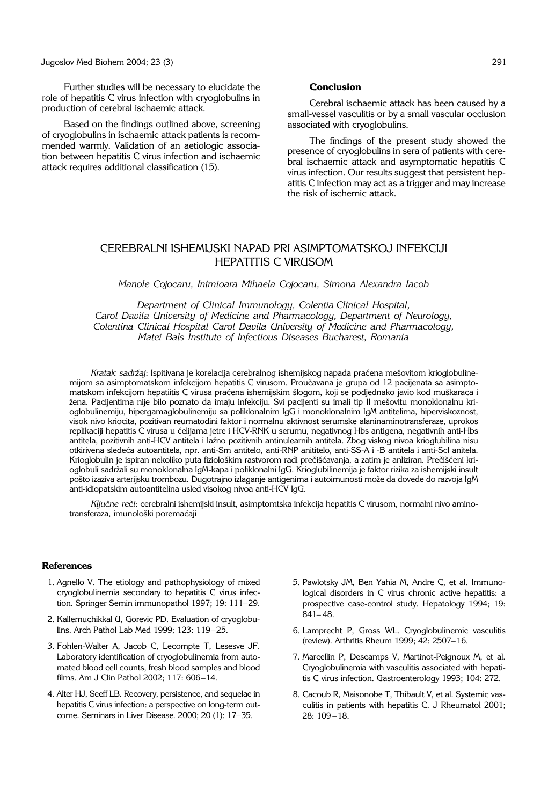Further studies will be necessary to elucidate the role of hepatitis C virus infection with cryoglobulins in production of cerebral ischaemic attack.

Based on the findings outlined above, screening of cryoglobulins in ischaemic attack patients is recommended warmly. Validation of an aetiologic association between hepatitis C virus infection and ischaemic attack requires additional classification (15).

#### **Conclusion**

Cerebral ischaemic attack has been caused by a small-vessel vasculitis or by a small vascular occlusion associated with cryoglobulins.

The findings of the present study showed the presence of cryoglobulins in sera of patients with cerebral ischaemic attack and asymptomatic hepatitis C virus infection. Our results suggest that persistent hepatitis C infection may act as a trigger and may increase the risk of ischemic attack.

# CEREBRALNI ISHEMIJSKI NAPAD PRI ASIMPTOMATSKOJ INFEKCIJI HEPATITIS C VIRUSOM

*Manole Cojocaru, Inimioara Mihaela Cojocaru, Simona Alexandra Iacob*

*Department of Clinical Immunology, Colentia Clinical Hospital, Carol Davila University of Medicine and Pharmacology, Department of Neurology, Colentina Clinical Hospital Carol Davila University of Medicine and Pharmacology, Matei Bals Institute of Infectious Diseases Bucharest, Romania*

*Kratak sadržaj*: Ispitivana je korelacija cerebralnog ishemijskog napada praćena mešovitom krioglobulinemijom sa asimptomatskom infekcijom hepatitis C virusom. Proučavana je grupa od 12 pacijenata sa asimptomatskom infekcijom hepatiitis C virusa praćena ishemijskim šlogom, koji se podjednako javio kod muškaraca i žena. Pacijentima nije bilo poznato da imaju infekciju. Svi pacijenti su imali tip II mešovitu monoklonalnu krioglobulinemiju, hipergamaglobulinemiju sa poliklonalnim IgG i monoklonalnim IgM antitelima, hiperviskoznost, visok nivo kriocita, pozitivan reumatodini faktor i normalnu aktivnost serumske alaninaminotransferaze, uprokos replikaciji hepatitis C virusa u ćelijama jetre i HCV-RNK u serumu, negativnog Hbs antigena, negativnih anti-Hbs antitela, pozitivnih anti-HCV antitela i lažno pozitivnih antinulearnih antitela. Zbog viskog nivoa krioglubilina nisu otkirivena sledeća autoantitela, npr. anti-Sm antitelo, anti-RNP anititelo, anti-SS-A i -B antitela i anti-Scl anitela. Krioglobulin je ispiran nekoliko puta fiziološkim rastvorom radi prečišćavanja, a zatim je anliziran. Prečišćeni krioglobuli sadr`ali su monoklonalna IgM-kapa i poliklonalni IgG. Krioglubilinemija je faktor rizika za ishemijski insult pošto izaziva arterijsku trombozu. Dugotrajno izlaganje antigenima i autoimunosti može da dovede do razvoja IgM anti-idiopatskim autoantitelina usled visokog nivoa anti-HCV IgG.

*Ključne reči: cerebralni ishemijski insult, asimptomtska infekcija hepatitis C virusom, normalni nivo amino*transferaza, imunološki poremaćaji

#### **References**

- 1. Agnello V. The etiology and pathophysiology of mixed cryoglobulinemia secondary to hepatitis C virus infection. Springer Semin immunopathol 1997; 19: 111–29.
- 2. Kallemuchikkal U, Gorevic PD. Evaluation of cryoglobulins. Arch Pathol Lab Med 1999; 123: 119–25.
- 3. Fohlen-Walter A, Jacob C, Lecompte T, Lesesve JF. Laboratory identification of cryoglobulinemia from automated blood cell counts, fresh blood samples and blood films. Am J Clin Pathol 2002; 117: 606–14.
- 4. Alter HJ, Seeff LB. Recovery, persistence, and sequelae in hepatitis C virus infection: a perspective on long-term outcome. Seminars in Liver Disease. 2000; 20 (1): 17–35.
- 5. Pawlotsky JM, Ben Yahia M, Andre C, et al. Immunological disorders in C virus chronic active hepatitis: a prospective case-control study. Hepatology 1994; 19: 841– 48.
- 6. Lamprecht P, Gross WL. Cryoglobulinemic vasculitis (review). Arthritis Rheum 1999; 42: 2507–16.
- 7. Marcellin P, Descamps V, Martinot-Peignoux M, et al. Cryoglobulinemia with vasculitis associated with hepatitis C virus infection. Gastroenterology 1993; 104: 272.
- 8. Cacoub R, Maisonobe T, Thibault V, et al. Systemic vasculitis in patients with hepatitis C. J Rheumatol 2001; 28: 109 –18.